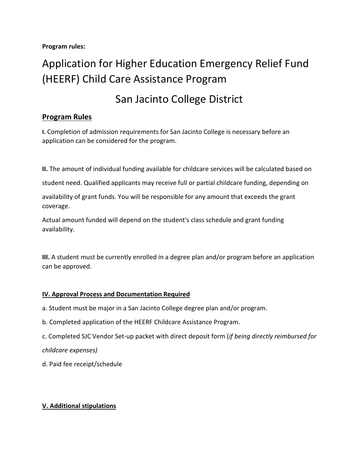#### **Program rules:**

# Application for Higher Education Emergency Relief Fund (HEERF) Child Care Assistance Program

# San Jacinto College District

# **Program Rules**

**I.** Completion of admission requirements for San Jacinto College is necessary before an application can be considered for the program.

**II.** The amount of individual funding available for childcare services will be calculated based on

student need. Qualified applicants may receive full or partial childcare funding, depending on

availability of grant funds. You will be responsible for any amount that exceeds the grant coverage.

Actual amount funded will depend on the student's class schedule and grant funding availability.

**III.** A student must be currently enrolled in a degree plan and/or program before an application can be approved.

## **IV. Approval Process and Documentation Required**

- a. Student must be major in a San Jacinto College degree plan and/or program.
- b. Completed application of the HEERF Childcare Assistance Program.
- c. Completed SJC Vendor Set-up packet with direct deposit form (*if being directly reimbursed for*

*childcare expenses)*

d. Paid fee receipt/schedule

## **V. Additional stipulations**